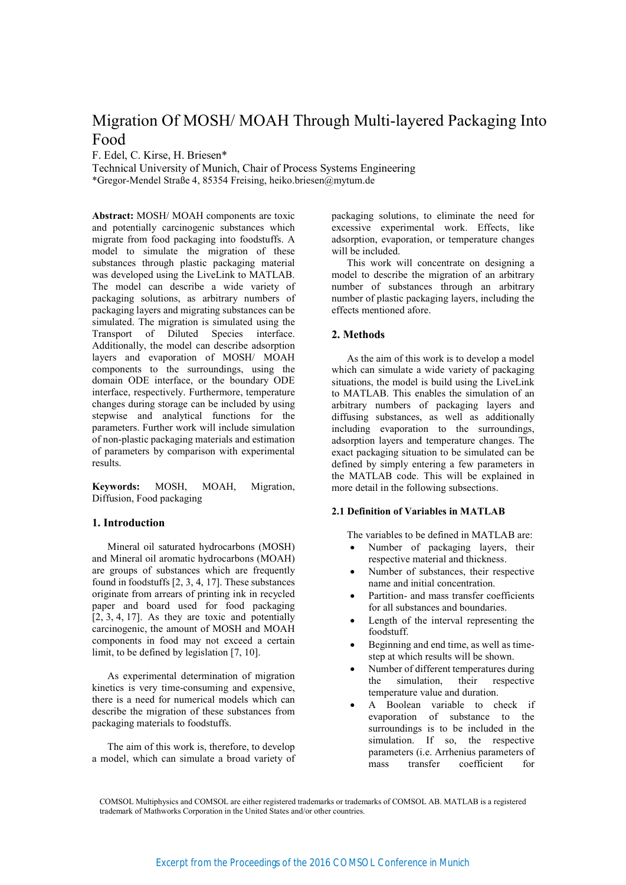# Migration Of MOSH/MOAH Through Multi-layered Packaging Into Food

F. Edel, C. Kirse, H. Briesen\*

Technical University of Munich, Chair of Process Systems Engineering \*Gregor-Mendel Straße 4, 85354 Freising, heiko.briesen@mytum.de

Abstract: MOSH/ MOAH components are toxic and potentially carcinogenic substances which migrate from food packaging into foodstuffs. A model to simulate the migration of these substances through plastic packaging material was developed using the LiveLink to MATLAB. The model can describe a wide variety of packaging solutions, as arbitrary numbers of packaging layers and migrating substances can be simulated. The migration is simulated using the Transport of Diluted Species interface. Additionally, the model can describe adsorption layers and evaporation of MOSH/ MOAH components to the surroundings, using the domain ODE interface, or the boundary ODE interface, respectively. Furthermore, temperature changes during storage can be included by using stepwise and analytical functions for the parameters. Further work will include simulation of non-plastic packaging materials and estimation of parameters by comparison with experimental results.

**Keywords:** MOSH, MOAH, Migration, Diffusion, Food packaging

## 1. Introduction

Mineral oil saturated hydrocarbons (MOSH) and Mineral oil aromatic hydrocarbons (MOAH) are groups of substances which are frequently found in foodstuffs [2, 3, 4, 17]. These substances originate from arrears of printing ink in recycled paper and board used for food packaging  $[2, 3, 4, 17]$ . As they are toxic and potentially carcinogenic, the amount of MOSH and MOAH components in food may not exceed a certain limit, to be defined by legislation [7, 10].

As experimental determination of migration kinetics is very time-consuming and expensive. there is a need for numerical models which can describe the migration of these substances from packaging materials to foodstuffs.

The aim of this work is, therefore, to develop a model, which can simulate a broad variety of packaging solutions, to eliminate the need for excessive experimental work. Effects, like adsorption, evaporation, or temperature changes will be included.

This work will concentrate on designing a model to describe the migration of an arbitrary number of substances through an arbitrary number of plastic packaging layers, including the effects mentioned afore.

# 2. Methods

As the aim of this work is to develop a model which can simulate a wide variety of packaging situations, the model is build using the LiveLink to MATLAB. This enables the simulation of an arbitrary numbers of packaging layers and diffusing substances, as well as additionally including evaporation to the surroundings, adsorption layers and temperature changes. The exact packaging situation to be simulated can be defined by simply entering a few parameters in the MATLAB code. This will be explained in more detail in the following subsections.

## 2.1 Definition of Variables in MATLAB

The variables to be defined in MATLAB are:

- Number of packaging layers, their  $\bullet$ respective material and thickness.
- Number of substances, their respective name and initial concentration.
- Partition- and mass transfer coefficients for all substances and boundaries.
- Length of the interval representing the foodstuff.
- Beginning and end time, as well as timestep at which results will be shown.
- Number of different temperatures during their simulation, respective the temperature value and duration.
- A Boolean variable to check if evaporation of substance to the surroundings is to be included in the simulation. If so, the respective parameters (i.e. Arrhenius parameters of mass transfer coefficient  $for$

COMSOL Multiphysics and COMSOL are either registered trademarks or trademarks of COMSOL AB. MATLAB is a registered trademark of Mathworks Corporation in the United States and/or other countries.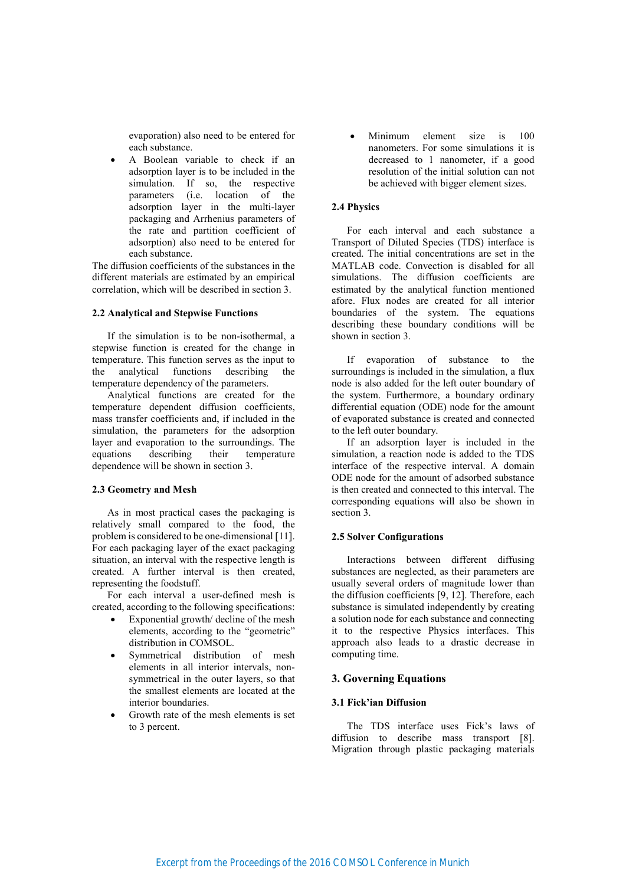evaporation) also need to be entered for each substance.

A Boolean variable to check if an adsorption layer is to be included in the simulation. If so, the respective parameters (i.e. location of the adsorption layer in the multi-layer packaging and Arrhenius parameters of the rate and partition coefficient of adsorption) also need to be entered for each substance.

The diffusion coefficients of the substances in the different materials are estimated by an empirical correlation, which will be described in section 3.

# 2.2 Analytical and Stepwise Functions

If the simulation is to be non-isothermal, a stepwise function is created for the change in temperature. This function serves as the input to analytical functions describing the the temperature dependency of the parameters.

Analytical functions are created for the temperature dependent diffusion coefficients, mass transfer coefficients and, if included in the simulation, the parameters for the adsorption layer and evaporation to the surroundings. The equations describing their temperature dependence will be shown in section 3.

### 2.3 Geometry and Mesh

As in most practical cases the packaging is relatively small compared to the food, the problem is considered to be one-dimensional [11]. For each packaging layer of the exact packaging situation, an interval with the respective length is created. A further interval is then created, representing the foodstuff.

For each interval a user-defined mesh is created, according to the following specifications:

- Exponential growth/ decline of the mesh  $\bullet$ elements, according to the "geometric" distribution in COMSOL.
- Symmetrical distribution of mesh elements in all interior intervals, nonsymmetrical in the outer lavers, so that the smallest elements are located at the interior boundaries.
- Growth rate of the mesh elements is set to 3 percent.

Minimum element size  $is$ 100  $\bullet$ nanometers. For some simulations it is decreased to 1 nanometer, if a good resolution of the initial solution can not be achieved with bigger element sizes.

### 2.4 Physics

For each interval and each substance a Transport of Diluted Species (TDS) interface is created. The initial concentrations are set in the MATLAB code. Convection is disabled for all simulations. The diffusion coefficients are estimated by the analytical function mentioned afore. Flux nodes are created for all interior boundaries of the system. The equations describing these boundary conditions will be shown in section 3.

If evaporation of substance to the surroundings is included in the simulation, a flux node is also added for the left outer boundary of the system. Furthermore, a boundary ordinary differential equation (ODE) node for the amount of evaporated substance is created and connected to the left outer boundary.

If an adsorption layer is included in the simulation, a reaction node is added to the TDS interface of the respective interval. A domain ODE node for the amount of adsorbed substance is then created and connected to this interval. The corresponding equations will also be shown in section 3.

## **2.5 Solver Configurations**

Interactions between different diffusing substances are neglected, as their parameters are usually several orders of magnitude lower than the diffusion coefficients [9, 12]. Therefore, each substance is simulated independently by creating a solution node for each substance and connecting it to the respective Physics interfaces. This approach also leads to a drastic decrease in computing time.

## **3. Governing Equations**

# 3.1 Fick'ian Diffusion

The TDS interface uses Fick's laws of diffusion to describe mass transport [8]. Migration through plastic packaging materials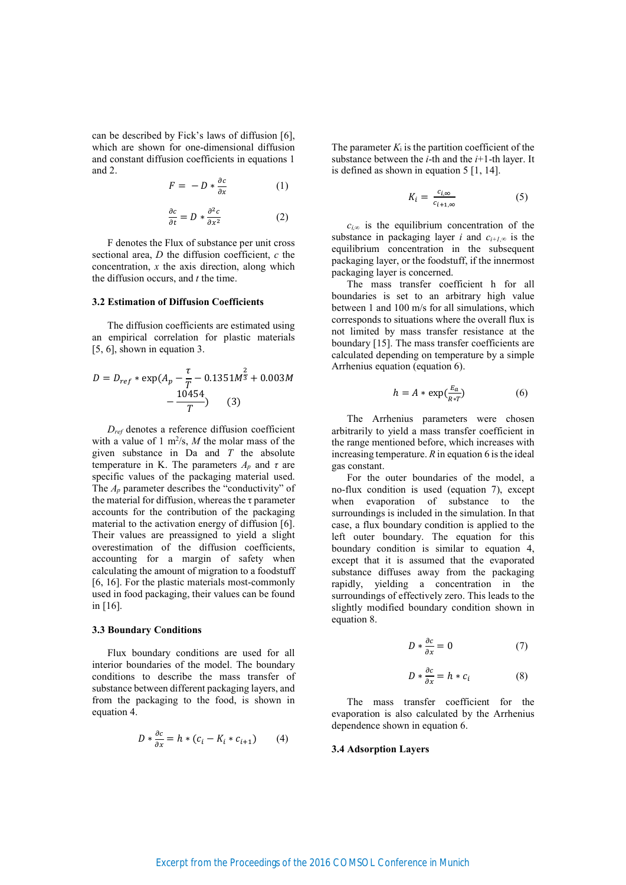can be described by Fick's laws of diffusion [6], which are shown for one-dimensional diffusion and constant diffusion coefficients in equations 1 and  $2$ .

$$
F = -D * \frac{\partial c}{\partial x} \tag{1}
$$

$$
\frac{\partial c}{\partial t} = D * \frac{\partial^2 c}{\partial x^2} \tag{2}
$$

F denotes the Flux of substance per unit cross sectional area,  $D$  the diffusion coefficient,  $c$  the concentration,  $x$  the axis direction, along which the diffusion occurs, and  $t$  the time.

## **3.2 Estimation of Diffusion Coefficients**

The diffusion coefficients are estimated using an empirical correlation for plastic materials  $[5, 6]$ , shown in equation 3.

$$
D = D_{ref} * \exp(A_p - \frac{\tau}{T} - 0.1351M^{\frac{2}{3}} + 0.003M - \frac{10454}{T})
$$
 (3)

 $D_{ref}$  denotes a reference diffusion coefficient with a value of 1  $m^2/s$ , *M* the molar mass of the given substance in Da and  $T$  the absolute temperature in K. The parameters  $A_p$  and  $\tau$  are specific values of the packaging material used. The  $A_p$  parameter describes the "conductivity" of the material for diffusion, whereas the  $\tau$  parameter accounts for the contribution of the packaging material to the activation energy of diffusion [6]. Their values are preassigned to yield a slight overestimation of the diffusion coefficients, accounting for a margin of safety when calculating the amount of migration to a foodstuff [6, 16]. For the plastic materials most-commonly used in food packaging, their values can be found in  $[16]$ .

## **3.3 Boundary Conditions**

Flux boundary conditions are used for all interior boundaries of the model. The boundary conditions to describe the mass transfer of substance between different packaging layers, and from the packaging to the food, is shown in equation 4.

$$
D * \frac{\partial c}{\partial x} = h * (c_i - K_i * c_{i+1}) \qquad (4)
$$

The parameter  $K_i$  is the partition coefficient of the substance between the *i*-th and the *i*+1-th layer. It is defined as shown in equation  $5 \, [1, 14]$ .

$$
K_i = \frac{c_{i,\infty}}{c_{i+1,\infty}} \tag{5}
$$

 $c_{i,\infty}$  is the equilibrium concentration of the substance in packaging layer *i* and  $c_{i+1,\infty}$  is the equilibrium concentration in the subsequent packaging layer, or the foodstuff, if the innermost packaging layer is concerned.

The mass transfer coefficient h for all boundaries is set to an arbitrary high value between 1 and 100 m/s for all simulations, which corresponds to situations where the overall flux is not limited by mass transfer resistance at the boundary [15]. The mass transfer coefficients are calculated depending on temperature by a simple Arrhenius equation (equation 6).

$$
h = A * \exp(\frac{E_a}{R * T}) \tag{6}
$$

The Arrhenius parameters were chosen arbitrarily to yield a mass transfer coefficient in the range mentioned before, which increases with increasing temperature.  $R$  in equation 6 is the ideal gas constant.

For the outer boundaries of the model, a no-flux condition is used (equation 7), except when evaporation of substance to the surroundings is included in the simulation. In that case, a flux boundary condition is applied to the left outer boundary. The equation for this boundary condition is similar to equation 4, except that it is assumed that the evaporated substance diffuses away from the packaging rapidly, yielding a concentration in the surroundings of effectively zero. This leads to the slightly modified boundary condition shown in equation 8.

$$
D * \frac{\partial c}{\partial x} = 0 \tag{7}
$$

$$
D * \frac{\partial c}{\partial x} = h * c_i \tag{8}
$$

The mass transfer coefficient for the evaporation is also calculated by the Arrhenius dependence shown in equation 6.

#### **3.4 Adsorption Layers**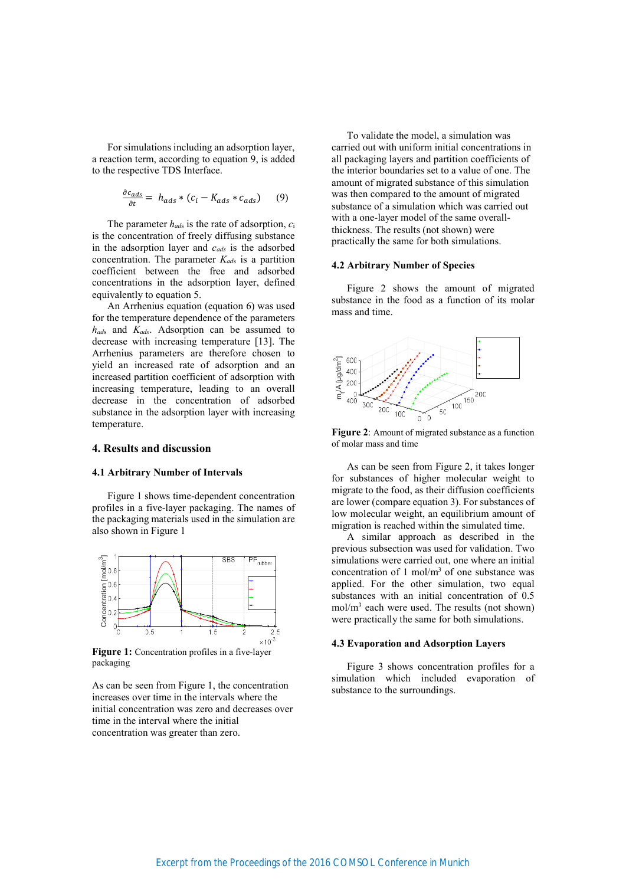For simulations including an adsorption layer, a reaction term, according to equation 9, is added to the respective TDS Interface.

$$
\frac{\partial c_{ads}}{\partial t} = h_{ads} * (c_i - K_{ads} * c_{ads}) \qquad (9)
$$

The parameter  $h_{ads}$  is the rate of adsorption,  $c_i$ is the concentration of freely diffusing substance in the adsorption layer and  $c_{ads}$  is the adsorbed concentration. The parameter  $K_{ads}$  is a partition coefficient between the free and adsorbed concentrations in the adsorption layer, defined equivalently to equation 5.

An Arrhenius equation (equation 6) was used for the temperature dependence of the parameters  $h_{ads}$  and  $K_{ads}$ . Adsorption can be assumed to decrease with increasing temperature [13]. The Arrhenius parameters are therefore chosen to yield an increased rate of adsorption and an increased partition coefficient of adsorption with increasing temperature, leading to an overall decrease in the concentration of adsorbed substance in the adsorption layer with increasing temperature.

# 4. Results and discussion

# **4.1 Arbitrary Number of Intervals**

Figure 1 shows time-dependent concentration profiles in a five-layer packaging. The names of the packaging materials used in the simulation are also shown in Figure 1



Figure 1: Concentration profiles in a five-layer packaging

As can be seen from Figure 1, the concentration increases over time in the intervals where the initial concentration was zero and decreases over time in the interval where the initial concentration was greater than zero.

To validate the model, a simulation was carried out with uniform initial concentrations in all packaging layers and partition coefficients of the interior boundaries set to a value of one. The amount of migrated substance of this simulation was then compared to the amount of migrated substance of a simulation which was carried out with a one-layer model of the same overallthickness. The results (not shown) were practically the same for both simulations.

#### **4.2 Arbitrary Number of Species**

Figure 2 shows the amount of migrated substance in the food as a function of its molar mass and time.



Figure 2: Amount of migrated substance as a function of molar mass and time

As can be seen from Figure 2, it takes longer for substances of higher molecular weight to migrate to the food, as their diffusion coefficients are lower (compare equation 3). For substances of low molecular weight, an equilibrium amount of migration is reached within the simulated time.

A similar approach as described in the previous subsection was used for validation. Two simulations were carried out, one where an initial concentration of 1 mol/ $m<sup>3</sup>$  of one substance was applied. For the other simulation, two equal substances with an initial concentration of 0.5  $mol/m<sup>3</sup>$  each were used. The results (not shown) were practically the same for both simulations.

#### **4.3 Evaporation and Adsorption Layers**

Figure 3 shows concentration profiles for a simulation which included evaporation of substance to the surroundings.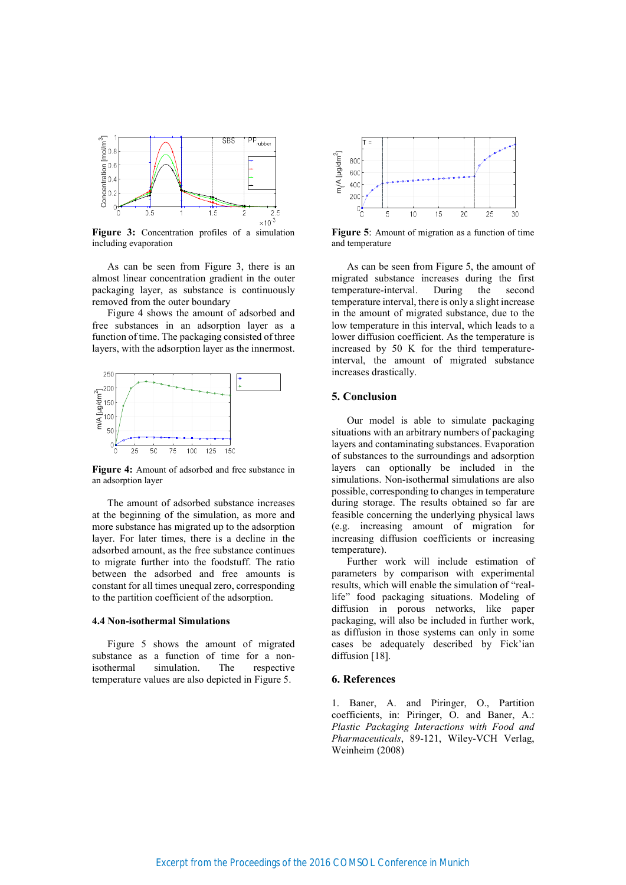

Figure 3: Concentration profiles of a simulation including evaporation

As can be seen from Figure 3, there is an almost linear concentration gradient in the outer packaging layer, as substance is continuously removed from the outer boundary

Figure 4 shows the amount of adsorbed and free substances in an adsorption layer as a function of time. The packaging consisted of three layers, with the adsorption layer as the innermost.



Figure 4: Amount of adsorbed and free substance in an adsorption layer

The amount of adsorbed substance increases at the beginning of the simulation, as more and more substance has migrated up to the adsorption layer. For later times, there is a decline in the adsorbed amount, as the free substance continues to migrate further into the foodstuff. The ratio between the adsorbed and free amounts is constant for all times unequal zero, corresponding to the partition coefficient of the adsorption.

#### **4.4 Non-isothermal Simulations**

Figure 5 shows the amount of migrated substance as a function of time for a nonisothermal simulation. The respective temperature values are also depicted in Figure 5.



Figure 5: Amount of migration as a function of time and temperature

As can be seen from Figure 5, the amount of migrated substance increases during the first During temperature-interval. the second temperature interval, there is only a slight increase in the amount of migrated substance, due to the low temperature in this interval, which leads to a lower diffusion coefficient. As the temperature is increased by 50 K for the third temperatureinterval, the amount of migrated substance increases drastically.

# 5. Conclusion

Our model is able to simulate packaging situations with an arbitrary numbers of packaging layers and contaminating substances. Evaporation of substances to the surroundings and adsorption layers can optionally be included in the simulations. Non-isothermal simulations are also possible, corresponding to changes in temperature during storage. The results obtained so far are feasible concerning the underlying physical laws (e.g. increasing amount of migration for increasing diffusion coefficients or increasing temperature).

Further work will include estimation of parameters by comparison with experimental results, which will enable the simulation of "reallife" food packaging situations. Modeling of diffusion in porous networks, like paper packaging, will also be included in further work, as diffusion in those systems can only in some cases be adequately described by Fick'ian diffusion [18].

### 6. References

1. Baner, A. and Piringer, O., Partition coefficients, in: Piringer, O. and Baner, A.: Plastic Packaging Interactions with Food and Pharmaceuticals, 89-121, Wiley-VCH Verlag, Weinheim (2008)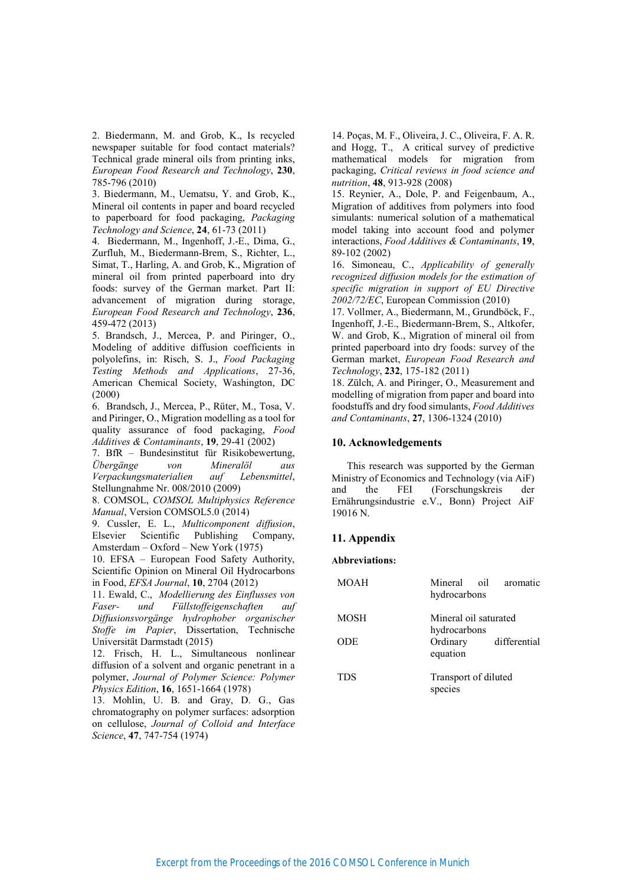2. Biedermann, M. and Grob, K., Is recycled newspaper suitable for food contact materials? Technical grade mineral oils from printing inks, *European Food Research and Technology*, 230, 785-796 (2010)

3. Biedermann, M., Uematsu, Y. and Grob, K., Mineral oil contents in paper and board recycled to paperboard for food packaging, Packaging *Technology and Science*, **24**, 61-73 (2011)

4. Biedermann, M., Ingenhoff, J.-E., Dima, G., Zurfluh, M., Biedermann-Brem, S., Richter, L., Simat, T., Harling, A. and Grob, K., Migration of mineral oil from printed paperboard into dry foods: survey of the German market. Part II: advancement of migration during storage, *European Food Research and Technology*, 236, 459-472 (2013)

5. Brandsch, J., Mercea, P. and Piringer, O., Modeling of additive diffusion coefficients in polyolefins, in: Risch, S. J., Food Packaging Testing Methods and Applications, 27-36, American Chemical Society, Washington, DC  $(2000)$ 

6. Brandsch, J., Mercea, P., Rüter, M., Tosa, V. and Piringer, O., Migration modelling as a tool for quality assurance of food packaging, Food *Additives & Contaminants*, 19, 29-41 (2002)

7. BfR - Bundesinstitut für Risikobewertung, *<u><i><u>i</u> f bergänge* von *Mineralöl* aus</u> *Verpackungsmaterialien auf Lebensmittel,* Stellungnahme Nr. 008/2010 (2009)

8. COMSOL, COMSOL Multiphysics Reference *Manual*, Version COMSOL5.0 (2014)

9. Cussler, E. L., *Multicomponent diffusion*, Scientific Publishing Company, Elsevier Amsterdam - Oxford - New York (1975)

10. EFSA - European Food Safety Authority, Scientific Opinion on Mineral Oil Hydrocarbons *in Food, EFSA Journal, 10, 2704 (2012)* 

11. Ewald, C., Modellierung des Einflusses von *Faser-* und Füllstoffeigenschaften auf  $Diff$ usionsvorgänge hydrophober organischer *Stoffe im Papier*, Dissertation, Technische Universität Darmstadt (2015)

12. Frisch, H. L., Simultaneous nonlinear diffusion of a solvent and organic penetrant in a polymer, Journal of Polymer Science: Polymer *Physics Edition*, 16, 1651-1664 (1978)

13. Mohlin, U. B. and Gray, D. G., Gas chromatography on polymer surfaces: adsorption on cellulose, Journal of Colloid and Interface *Science*, 47, 747-754 (1974)

14. Poças, M. F., Oliveira, J. C., Oliveira, F. A. R. and Hogg, T., A critical survey of predictive mathematical models for migration from packaging, Critical reviews in food science and *nutrition*, 48, 913-928 (2008)

15. Reynier, A., Dole, P. and Feigenbaum, A., Migration of additives from polymers into food simulants: numerical solution of a mathematical model taking into account food and polymer *interactions, Food Additives & Contaminants, 19,* 89-102 (2002)

16. Simoneau, C., Applicability of generally *recognized diffusion models for the estimation of* specific migration in support of EU Directive 2002/72/EC, European Commission (2010)

17. Vollmer, A., Biedermann, M., Grundböck, F., Ingenhoff, J.-E., Biedermann-Brem, S., Altkofer, W. and Grob, K., Migration of mineral oil from printed paperboard into dry foods: survey of the German market, European Food Research and Technology, 232, 175-182 (2011)

18. Zülch, A. and Piringer, O., Measurement and modelling of migration from paper and board into foodstuffs and dry food simulants, Food Additives *and Contaminants*, 27, 1306-1324 (2010)

# 10. Acknowledgements

This research was supported by the German Ministry of Economics and Technology (via AiF) and the FEI (Forschungskreis der Ernährungsindustrie e.V., Bonn) Project AiF 19016 N.

# 11. Appendix

 ${\bf Abbreviations:}$ 

| <b>MOAH</b> | Mineral oil<br>hydrocarbons           | aromatic     |
|-------------|---------------------------------------|--------------|
| <b>MOSH</b> | Mineral oil saturated<br>hydrocarbons |              |
| <b>ODE</b>  | Ordinary<br>equation                  | differential |
| <b>TDS</b>  | Transport of diluted<br>species       |              |